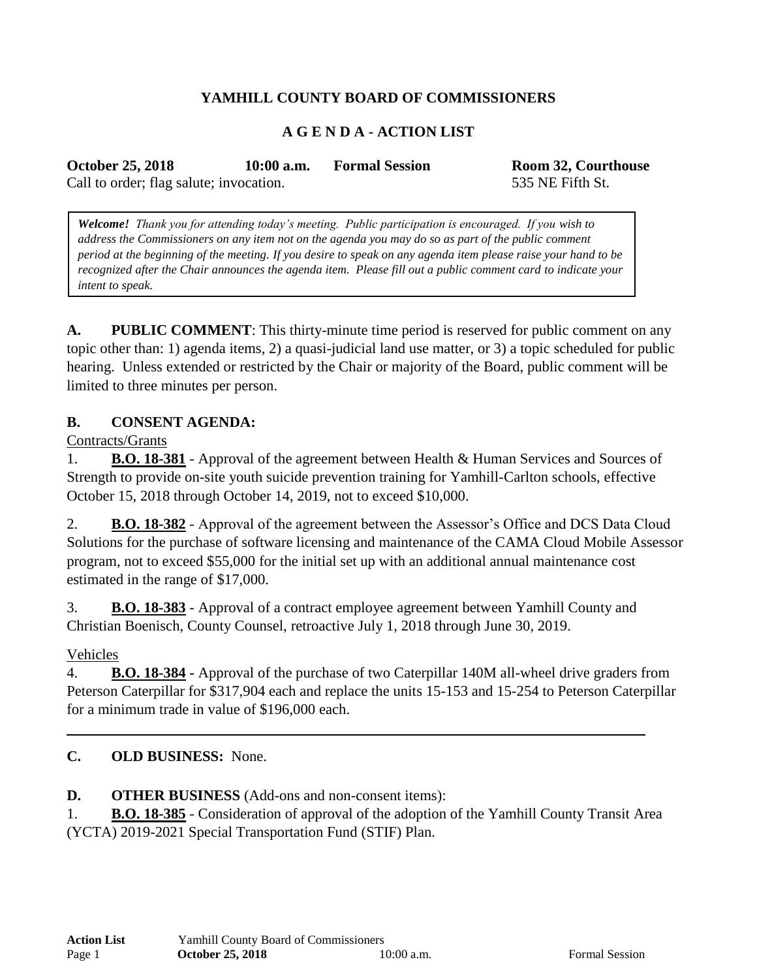# **YAMHILL COUNTY BOARD OF COMMISSIONERS**

### **A G E N D A - ACTION LIST**

**October 25, 2018 10:00 a.m. Formal Session Room 32, Courthouse**

Call to order; flag salute; invocation. 535 NE Fifth St.

*Welcome! Thank you for attending today's meeting. Public participation is encouraged. If you wish to address the Commissioners on any item not on the agenda you may do so as part of the public comment period at the beginning of the meeting. If you desire to speak on any agenda item please raise your hand to be recognized after the Chair announces the agenda item. Please fill out a public comment card to indicate your intent to speak.*

**A. PUBLIC COMMENT**: This thirty-minute time period is reserved for public comment on any topic other than: 1) agenda items, 2) a quasi-judicial land use matter, or 3) a topic scheduled for public hearing. Unless extended or restricted by the Chair or majority of the Board, public comment will be limited to three minutes per person.

#### **B. CONSENT AGENDA:**

Contracts/Grants

1. **B.O. 18-381** - Approval of the agreement between Health & Human Services and Sources of Strength to provide on-site youth suicide prevention training for Yamhill-Carlton schools, effective October 15, 2018 through October 14, 2019, not to exceed \$10,000.

2. **B.O. 18-382** - Approval of the agreement between the Assessor's Office and DCS Data Cloud Solutions for the purchase of software licensing and maintenance of the CAMA Cloud Mobile Assessor program, not to exceed \$55,000 for the initial set up with an additional annual maintenance cost estimated in the range of \$17,000.

3. **B.O. 18-383** - Approval of a contract employee agreement between Yamhill County and Christian Boenisch, County Counsel, retroactive July 1, 2018 through June 30, 2019.

Vehicles

4. **B.O. 18-384 -** Approval of the purchase of two Caterpillar 140M all-wheel drive graders from Peterson Caterpillar for \$317,904 each and replace the units 15-153 and 15-254 to Peterson Caterpillar for a minimum trade in value of \$196,000 each.

### **C. OLD BUSINESS:** None.

**D. OTHER BUSINESS** (Add-ons and non-consent items):

1. **B.O. 18-385** - Consideration of approval of the adoption of the Yamhill County Transit Area (YCTA) 2019-2021 Special Transportation Fund (STIF) Plan.